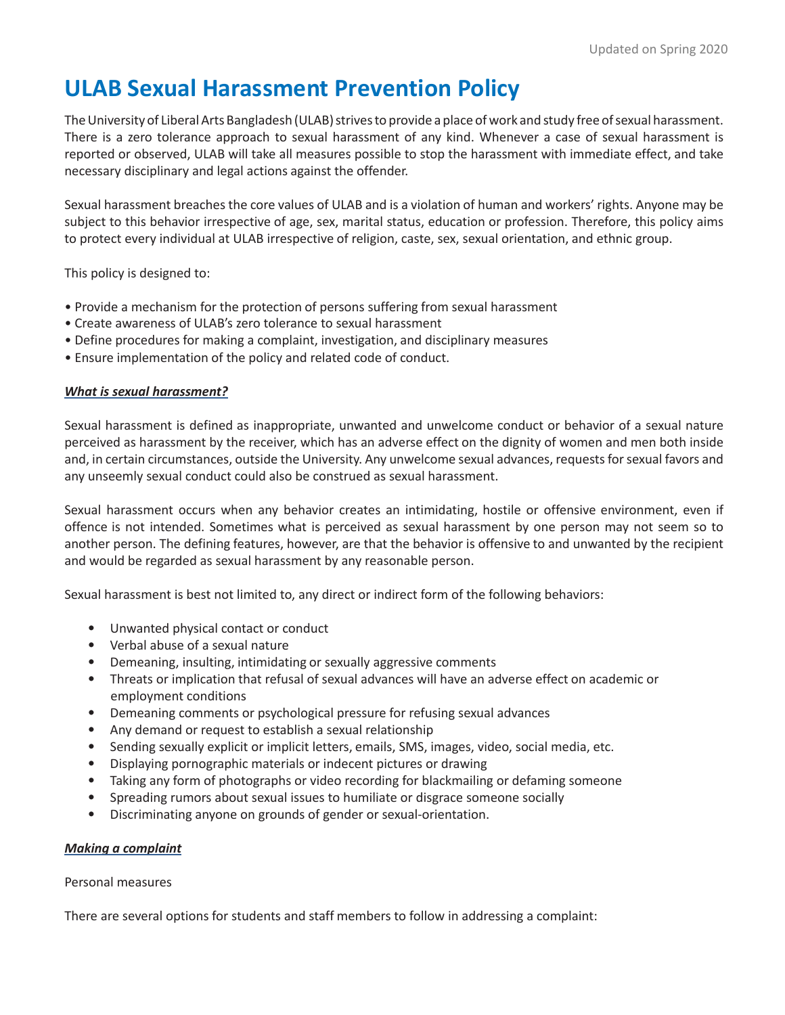# **ULAB Sexual Harassment Prevention Policy**

The University of Liberal Arts Bangladesh (ULAB) strives to provide a place of work and study free of sexual harassment. There is a zero tolerance approach to sexual harassment of any kind. Whenever a case of sexual harassment is reported or observed, ULAB will take all measures possible to stop the harassment with immediate effect, and take necessary disciplinary and legal actions against the offender.

Sexual harassment breaches the core values of ULAB and is a violation of human and workers' rights. Anyone may be subject to this behavior irrespective of age, sex, marital status, education or profession. Therefore, this policy aims to protect every individual at ULAB irrespective of religion, caste, sex, sexual orientation, and ethnic group.

This policy is designed to:

- Provide a mechanism for the protection of persons suffering from sexual harassment
- Create awareness of ULAB's zero tolerance to sexual harassment
- Define procedures for making a complaint, investigation, and disciplinary measures
- Ensure implementation of the policy and related code of conduct.

## *What is sexual harassment?*

Sexual harassment is defined as inappropriate, unwanted and unwelcome conduct or behavior of a sexual nature perceived as harassment by the receiver, which has an adverse effect on the dignity of women and men both inside and, in certain circumstances, outside the University. Any unwelcome sexual advances, requests for sexual favors and any unseemly sexual conduct could also be construed as sexual harassment.

Sexual harassment occurs when any behavior creates an intimidating, hostile or offensive environment, even if offence is not intended. Sometimes what is perceived as sexual harassment by one person may not seem so to another person. The defining features, however, are that the behavior is offensive to and unwanted by the recipient and would be regarded as sexual harassment by any reasonable person.

Sexual harassment is best not limited to, any direct or indirect form of the following behaviors:

- Unwanted physical contact or conduct
- Verbal abuse of a sexual nature
- Demeaning, insulting, intimidating or sexually aggressive comments
- Threats or implication that refusal of sexual advances will have an adverse effect on academic or employment conditions
- Demeaning comments or psychological pressure for refusing sexual advances
- Any demand or request to establish a sexual relationship
- Sending sexually explicit or implicit letters, emails, SMS, images, video, social media, etc.
- Displaying pornographic materials or indecent pictures or drawing
- Taking any form of photographs or video recording for blackmailing or defaming someone
- Spreading rumors about sexual issues to humiliate or disgrace someone socially
- Discriminating anyone on grounds of gender or sexual-orientation.

## *Making a complaint*

Personal measures

There are several options for students and staff members to follow in addressing a complaint: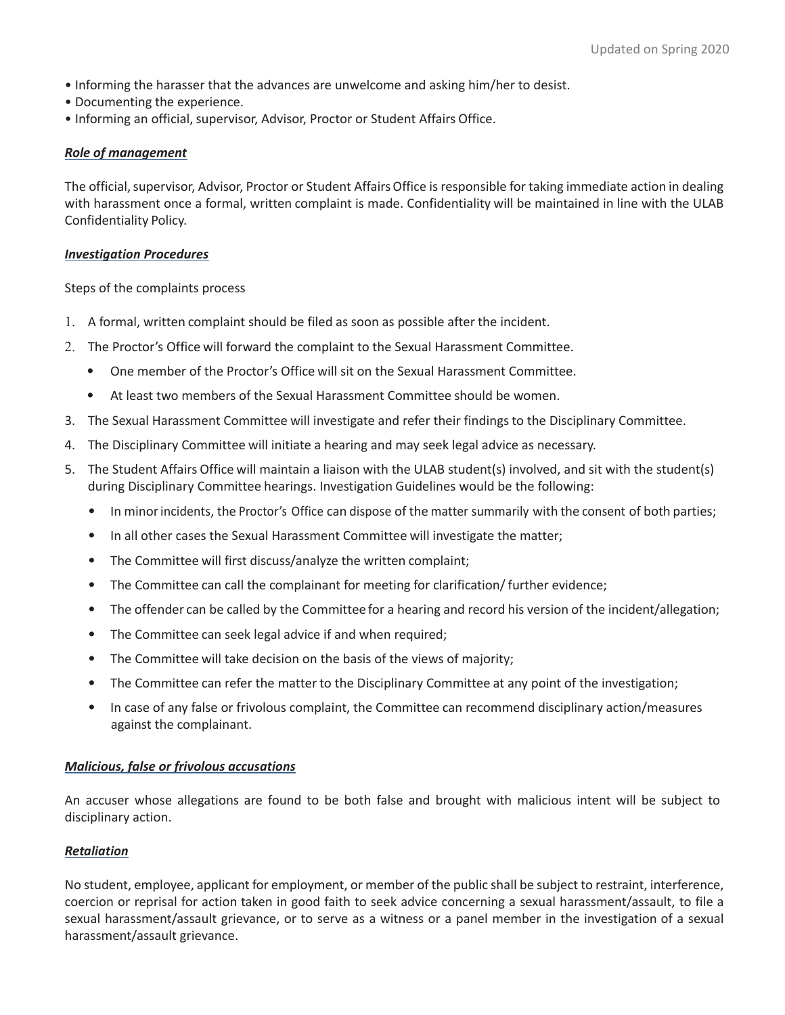- Informing the harasser that the advances are unwelcome and asking him/her to desist.
- Documenting the experience.
- Informing an official, supervisor, Advisor, Proctor or Student Affairs Office.

#### *Role of management*

The official, supervisor, Advisor, Proctor or Student Affairs Office is responsible for taking immediate action in dealing with harassment once a formal, written complaint is made. Confidentiality will be maintained in line with the ULAB Confidentiality Policy.

#### *Investigation Procedures*

Steps of the complaints process

- 1. A formal, written complaint should be filed as soon as possible after the incident.
- 2. The Proctor's Office will forward the complaint to the Sexual Harassment Committee.
	- One member of the Proctor's Office will sit on the Sexual Harassment Committee.
	- At least two members of the Sexual Harassment Committee should be women.
- 3. The Sexual Harassment Committee will investigate and refer their findingsto the Disciplinary Committee.
- 4. The Disciplinary Committee will initiate a hearing and may seek legal advice as necessary.
- 5. The Student Affairs Office will maintain a liaison with the ULAB student(s) involved, and sit with the student(s) during Disciplinary Committee hearings. Investigation Guidelines would be the following:
	- In minorincidents, the Proctor's Office can dispose of the matter summarily with the consent of both parties;
	- In all other cases the Sexual Harassment Committee will investigate the matter;
	- The Committee will first discuss/analyze the written complaint;
	- The Committee can call the complainant for meeting for clarification/further evidence;
	- The offender can be called by the Committee for a hearing and record his version of the incident/allegation;
	- The Committee can seek legal advice if and when required;
	- The Committee will take decision on the basis of the views of majority;
	- The Committee can refer the matter to the Disciplinary Committee at any point of the investigation;
	- In case of any false or frivolous complaint, the Committee can recommend disciplinary action/measures against the complainant.

#### *Malicious, false or frivolous accusations*

An accuser whose allegations are found to be both false and brought with malicious intent will be subject to disciplinary action.

#### *Retaliation*

No student, employee, applicant for employment, or member of the public shall be subject to restraint, interference, coercion or reprisal for action taken in good faith to seek advice concerning a sexual harassment/assault, to file a sexual harassment/assault grievance, or to serve as a witness or a panel member in the investigation of a sexual harassment/assault grievance.